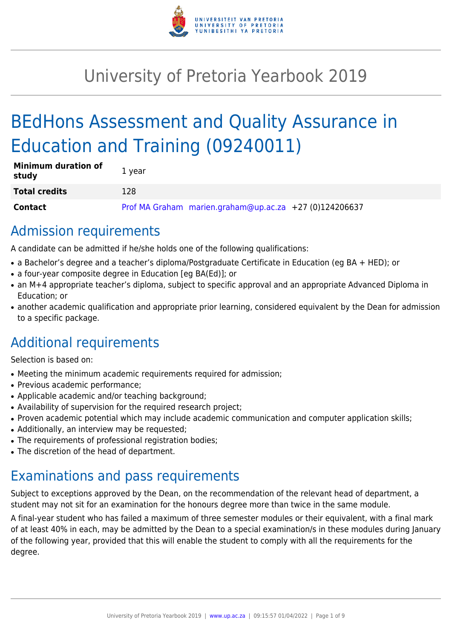

# University of Pretoria Yearbook 2019

# BEdHons Assessment and Quality Assurance in Education and Training (09240011)

| <b>Minimum duration of</b><br>study | 1 year |                                                        |  |
|-------------------------------------|--------|--------------------------------------------------------|--|
| <b>Total credits</b>                | 128    |                                                        |  |
| <b>Contact</b>                      |        | Prof MA Graham marien.graham@up.ac.za +27 (0)124206637 |  |

### Admission requirements

A candidate can be admitted if he/she holds one of the following qualifications:

- a Bachelor's degree and a teacher's diploma/Postgraduate Certificate in Education (eg BA + HED); or
- a four-year composite degree in Education [eg BA(Ed)]; or
- an M+4 appropriate teacher's diploma, subject to specific approval and an appropriate Advanced Diploma in Education; or
- another academic qualification and appropriate prior learning, considered equivalent by the Dean for admission to a specific package.

## Additional requirements

Selection is based on:

- Meeting the minimum academic requirements required for admission;
- Previous academic performance;
- Applicable academic and/or teaching background;
- Availability of supervision for the required research project;
- Proven academic potential which may include academic communication and computer application skills;
- Additionally, an interview may be requested;
- The requirements of professional registration bodies;
- The discretion of the head of department.

## Examinations and pass requirements

Subject to exceptions approved by the Dean, on the recommendation of the relevant head of department, a student may not sit for an examination for the honours degree more than twice in the same module.

A final-year student who has failed a maximum of three semester modules or their equivalent, with a final mark of at least 40% in each, may be admitted by the Dean to a special examination/s in these modules during January of the following year, provided that this will enable the student to comply with all the requirements for the degree.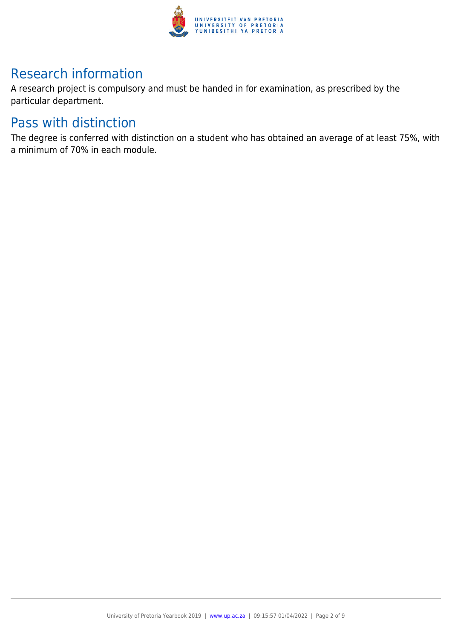

## Research information

A research project is compulsory and must be handed in for examination, as prescribed by the particular department.

### Pass with distinction

The degree is conferred with distinction on a student who has obtained an average of at least 75%, with a minimum of 70% in each module.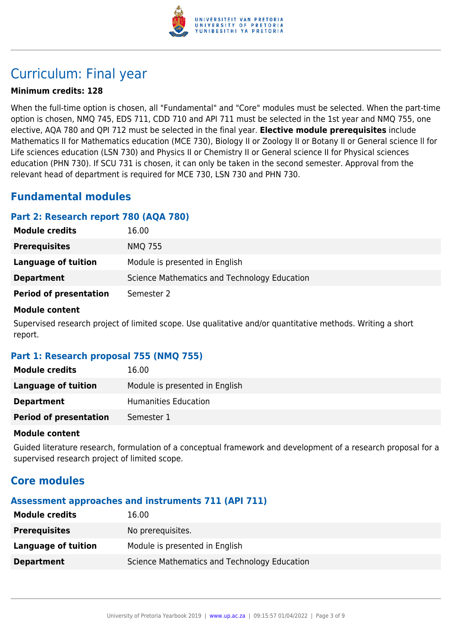

## Curriculum: Final year

#### **Minimum credits: 128**

When the full-time option is chosen, all "Fundamental" and "Core" modules must be selected. When the part-time option is chosen, NMQ 745, EDS 711, CDD 710 and API 711 must be selected in the 1st year and NMQ 755, one elective, AQA 780 and QPI 712 must be selected in the final year. **Elective module prerequisites** include Mathematics II for Mathematics education (MCE 730), Biology II or Zoology II or Botany II or General science ll for Life sciences education (LSN 730) and Physics II or Chemistry II or General science II for Physical sciences education (PHN 730). If SCU 731 is chosen, it can only be taken in the second semester. Approval from the relevant head of department is required for MCE 730, LSN 730 and PHN 730.

### **Fundamental modules**

#### **Part 2: Research report 780 (AQA 780)**

| <b>Module credits</b>         | 16.00                                        |
|-------------------------------|----------------------------------------------|
| <b>Prerequisites</b>          | <b>NMQ 755</b>                               |
| Language of tuition           | Module is presented in English               |
| <b>Department</b>             | Science Mathematics and Technology Education |
| <b>Period of presentation</b> | Semester 2                                   |

#### **Module content**

Supervised research project of limited scope. Use qualitative and/or quantitative methods. Writing a short report.

#### **Part 1: Research proposal 755 (NMQ 755)**

| <b>Module credits</b>         | 16.00                          |
|-------------------------------|--------------------------------|
| Language of tuition           | Module is presented in English |
| <b>Department</b>             | Humanities Education           |
| <b>Period of presentation</b> | Semester 1                     |

#### **Module content**

Guided literature research, formulation of a conceptual framework and development of a research proposal for a supervised research project of limited scope.

### **Core modules**

### **Assessment approaches and instruments 711 (API 711)**

| <b>Module credits</b> | 16.00                                        |
|-----------------------|----------------------------------------------|
| <b>Prerequisites</b>  | No prerequisites.                            |
| Language of tuition   | Module is presented in English               |
| <b>Department</b>     | Science Mathematics and Technology Education |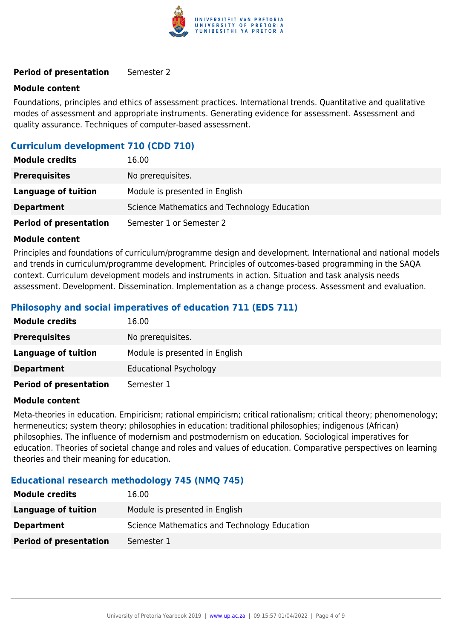

#### **Period of presentation** Semester 2

#### **Module content**

Foundations, principles and ethics of assessment practices. International trends. Quantitative and qualitative modes of assessment and appropriate instruments. Generating evidence for assessment. Assessment and quality assurance. Techniques of computer-based assessment.

#### **Curriculum development 710 (CDD 710)**

| <b>Module credits</b>         | 16.00                                        |
|-------------------------------|----------------------------------------------|
| <b>Prerequisites</b>          | No prerequisites.                            |
| Language of tuition           | Module is presented in English               |
| <b>Department</b>             | Science Mathematics and Technology Education |
| <b>Period of presentation</b> | Semester 1 or Semester 2                     |

#### **Module content**

Principles and foundations of curriculum/programme design and development. International and national models and trends in curriculum/programme development. Principles of outcomes-based programming in the SAQA context. Curriculum development models and instruments in action. Situation and task analysis needs assessment. Development. Dissemination. Implementation as a change process. Assessment and evaluation.

#### **Philosophy and social imperatives of education 711 (EDS 711)**

| <b>Module credits</b>         | 16.00                          |
|-------------------------------|--------------------------------|
| <b>Prerequisites</b>          | No prerequisites.              |
| Language of tuition           | Module is presented in English |
| <b>Department</b>             | <b>Educational Psychology</b>  |
| <b>Period of presentation</b> | Semester 1                     |

#### **Module content**

Meta-theories in education. Empiricism; rational empiricism; critical rationalism; critical theory; phenomenology; hermeneutics; system theory; philosophies in education: traditional philosophies; indigenous (African) philosophies. The influence of modernism and postmodernism on education. Sociological imperatives for education. Theories of societal change and roles and values of education. Comparative perspectives on learning theories and their meaning for education.

#### **Educational research methodology 745 (NMQ 745)**

| <b>Module credits</b>         | 16.00                                        |
|-------------------------------|----------------------------------------------|
| Language of tuition           | Module is presented in English               |
| <b>Department</b>             | Science Mathematics and Technology Education |
| <b>Period of presentation</b> | Semester 1                                   |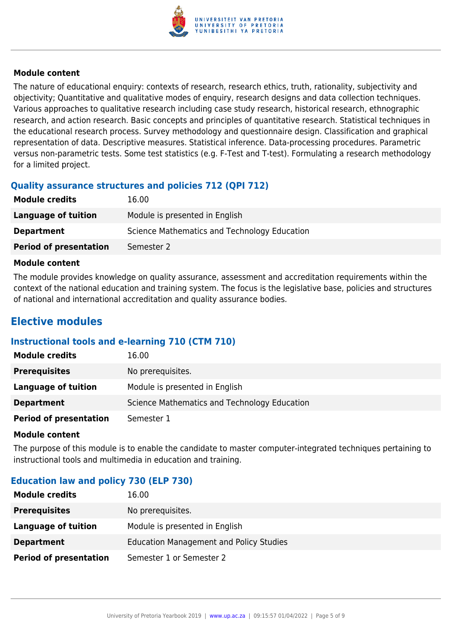

#### **Module content**

The nature of educational enquiry: contexts of research, research ethics, truth, rationality, subjectivity and objectivity; Quantitative and qualitative modes of enquiry, research designs and data collection techniques. Various approaches to qualitative research including case study research, historical research, ethnographic research, and action research. Basic concepts and principles of quantitative research. Statistical techniques in the educational research process. Survey methodology and questionnaire design. Classification and graphical representation of data. Descriptive measures. Statistical inference. Data-processing procedures. Parametric versus non-parametric tests. Some test statistics (e.g. F-Test and T-test). Formulating a research methodology for a limited project.

#### **Quality assurance structures and policies 712 (QPI 712)**

| <b>Module credits</b>         | 16.00                                        |
|-------------------------------|----------------------------------------------|
| Language of tuition           | Module is presented in English               |
| <b>Department</b>             | Science Mathematics and Technology Education |
| <b>Period of presentation</b> | Semester 2                                   |

#### **Module content**

The module provides knowledge on quality assurance, assessment and accreditation requirements within the context of the national education and training system. The focus is the legislative base, policies and structures of national and international accreditation and quality assurance bodies.

### **Elective modules**

#### **Instructional tools and e-learning 710 (CTM 710)**

| <b>Module credits</b>         | 16.00                                        |
|-------------------------------|----------------------------------------------|
| <b>Prerequisites</b>          | No prerequisites.                            |
| Language of tuition           | Module is presented in English               |
| <b>Department</b>             | Science Mathematics and Technology Education |
| <b>Period of presentation</b> | Semester 1                                   |

#### **Module content**

The purpose of this module is to enable the candidate to master computer-integrated techniques pertaining to instructional tools and multimedia in education and training.

#### **Education law and policy 730 (ELP 730)**

| <b>Module credits</b>         | 16.00                                          |
|-------------------------------|------------------------------------------------|
| <b>Prerequisites</b>          | No prerequisites.                              |
| Language of tuition           | Module is presented in English                 |
| <b>Department</b>             | <b>Education Management and Policy Studies</b> |
| <b>Period of presentation</b> | Semester 1 or Semester 2                       |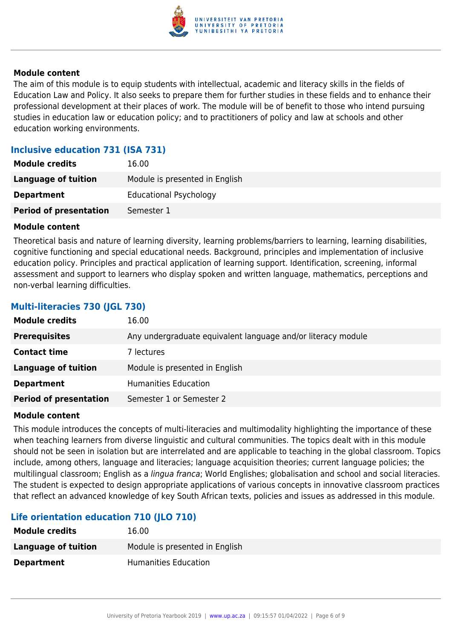

#### **Module content**

The aim of this module is to equip students with intellectual, academic and literacy skills in the fields of Education Law and Policy. It also seeks to prepare them for further studies in these fields and to enhance their professional development at their places of work. The module will be of benefit to those who intend pursuing studies in education law or education policy; and to practitioners of policy and law at schools and other education working environments.

#### **Inclusive education 731 (ISA 731)**

| <b>Module credits</b>         | 16.00                          |
|-------------------------------|--------------------------------|
| Language of tuition           | Module is presented in English |
| <b>Department</b>             | <b>Educational Psychology</b>  |
| <b>Period of presentation</b> | Semester 1                     |

#### **Module content**

Theoretical basis and nature of learning diversity, learning problems/barriers to learning, learning disabilities, cognitive functioning and special educational needs. Background, principles and implementation of inclusive education policy. Principles and practical application of learning support. Identification, screening, informal assessment and support to learners who display spoken and written language, mathematics, perceptions and non-verbal learning difficulties.

### **Multi-literacies 730 (JGL 730) Module credits** 16.00 **Prerequisites** Any undergraduate equivalent language and/or literacy module **Contact time** 7 lectures **Language of tuition** Module is presented in English **Department** Humanities Education **Period of presentation** Semester 1 or Semester 2

#### **Module content**

This module introduces the concepts of multi-literacies and multimodality highlighting the importance of these when teaching learners from diverse linguistic and cultural communities. The topics dealt with in this module should not be seen in isolation but are interrelated and are applicable to teaching in the global classroom. Topics include, among others, language and literacies; language acquisition theories; current language policies; the multilingual classroom; English as a lingua franca; World Englishes; globalisation and school and social literacies. The student is expected to design appropriate applications of various concepts in innovative classroom practices that reflect an advanced knowledge of key South African texts, policies and issues as addressed in this module.

#### **Life orientation education 710 (JLO 710)**

| 16.00                          |
|--------------------------------|
| Module is presented in English |
| <b>Humanities Education</b>    |
|                                |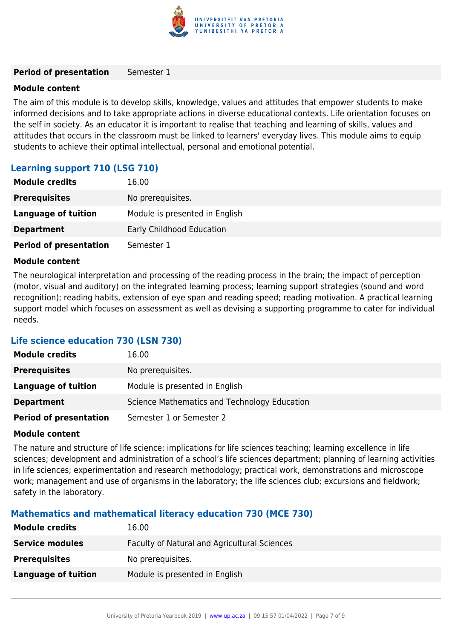

#### **Period of presentation** Semester 1

#### **Module content**

The aim of this module is to develop skills, knowledge, values and attitudes that empower students to make informed decisions and to take appropriate actions in diverse educational contexts. Life orientation focuses on the self in society. As an educator it is important to realise that teaching and learning of skills, values and attitudes that occurs in the classroom must be linked to learners' everyday lives. This module aims to equip students to achieve their optimal intellectual, personal and emotional potential.

#### **Learning support 710 (LSG 710)**

| <b>Module credits</b>         | 16.00                          |
|-------------------------------|--------------------------------|
| <b>Prerequisites</b>          | No prerequisites.              |
| <b>Language of tuition</b>    | Module is presented in English |
| <b>Department</b>             | Early Childhood Education      |
| <b>Period of presentation</b> | Semester 1                     |

#### **Module content**

The neurological interpretation and processing of the reading process in the brain; the impact of perception (motor, visual and auditory) on the integrated learning process; learning support strategies (sound and word recognition); reading habits, extension of eye span and reading speed; reading motivation. A practical learning support model which focuses on assessment as well as devising a supporting programme to cater for individual needs.

#### **Life science education 730 (LSN 730)**

| <b>Module credits</b>         | 16.00                                        |
|-------------------------------|----------------------------------------------|
| <b>Prerequisites</b>          | No prerequisites.                            |
| Language of tuition           | Module is presented in English               |
| <b>Department</b>             | Science Mathematics and Technology Education |
| <b>Period of presentation</b> | Semester 1 or Semester 2                     |

#### **Module content**

The nature and structure of life science: implications for life sciences teaching; learning excellence in life sciences; development and administration of a school's life sciences department; planning of learning activities in life sciences; experimentation and research methodology; practical work, demonstrations and microscope work; management and use of organisms in the laboratory; the life sciences club; excursions and fieldwork; safety in the laboratory.

#### **Mathematics and mathematical literacy education 730 (MCE 730)**

| <b>Module credits</b>      | 16.00                                        |
|----------------------------|----------------------------------------------|
| <b>Service modules</b>     | Faculty of Natural and Agricultural Sciences |
| <b>Prerequisites</b>       | No prerequisites.                            |
| <b>Language of tuition</b> | Module is presented in English               |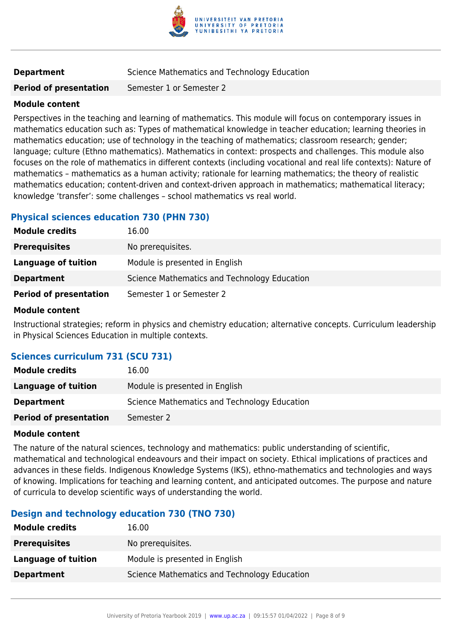

#### **Department** Science Mathematics and Technology Education

**Period of presentation** Semester 1 or Semester 2

#### **Module content**

Perspectives in the teaching and learning of mathematics. This module will focus on contemporary issues in mathematics education such as: Types of mathematical knowledge in teacher education; learning theories in mathematics education; use of technology in the teaching of mathematics; classroom research; gender; language; culture (Ethno mathematics). Mathematics in context: prospects and challenges. This module also focuses on the role of mathematics in different contexts (including vocational and real life contexts): Nature of mathematics – mathematics as a human activity; rationale for learning mathematics; the theory of realistic mathematics education; content-driven and context-driven approach in mathematics; mathematical literacy; knowledge 'transfer': some challenges – school mathematics vs real world.

#### **Physical sciences education 730 (PHN 730)**

| <b>Module credits</b>         | 16.00                                        |
|-------------------------------|----------------------------------------------|
| <b>Prerequisites</b>          | No prerequisites.                            |
| Language of tuition           | Module is presented in English               |
| <b>Department</b>             | Science Mathematics and Technology Education |
| <b>Period of presentation</b> | Semester 1 or Semester 2                     |

#### **Module content**

Instructional strategies; reform in physics and chemistry education; alternative concepts. Curriculum leadership in Physical Sciences Education in multiple contexts.

#### **Sciences curriculum 731 (SCU 731)**

| <b>Module credits</b>         | 16.00                                        |
|-------------------------------|----------------------------------------------|
| Language of tuition           | Module is presented in English               |
| <b>Department</b>             | Science Mathematics and Technology Education |
| <b>Period of presentation</b> | Semester 2                                   |

#### **Module content**

The nature of the natural sciences, technology and mathematics: public understanding of scientific, mathematical and technological endeavours and their impact on society. Ethical implications of practices and advances in these fields. Indigenous Knowledge Systems (IKS), ethno-mathematics and technologies and ways of knowing. Implications for teaching and learning content, and anticipated outcomes. The purpose and nature of curricula to develop scientific ways of understanding the world.

#### **Design and technology education 730 (TNO 730)**

| <b>Module credits</b> | 16.00                                        |
|-----------------------|----------------------------------------------|
| <b>Prerequisites</b>  | No prerequisites.                            |
| Language of tuition   | Module is presented in English               |
| <b>Department</b>     | Science Mathematics and Technology Education |